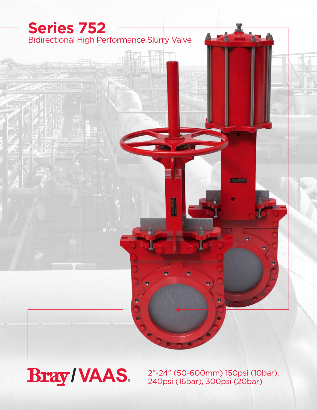

**Bray/VAAS.** 

2"-24" (50-600mm) 150psi (10bar), 240psi (16bar), 300psi (20bar)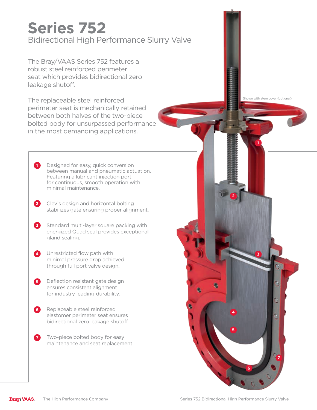# Bidirectional High Performance Slurry Valve **Series 752**

The Bray/VAAS Series 752 features a robust steel reinforced perimeter seat which provides bidirectional zero leakage shutoff.

The replaceable steel reinforced perimeter seat is mechanically retained between both halves of the two-piece bolted body for unsurpassed performance in the most demanding applications.

- 1 Designed for easy, quick conversion between manual and pneumatic actuation. Featuring a lubricant injection port for continuous, smooth operation with minimal maintenance.
- Clevis design and horizontal bolting **2** stabilizes gate ensuring proper alignment.
- **3** Standard multi-layer square packing with energized Quad seal provides exceptional gland sealing.
- 4 Unrestricted flow path with minimal pressure drop achieved through full port valve design.
- **5** Deflection resistant gate design ensures consistent alignment for industry leading durability.
- Replaceable steel reinforced **6** elastomer perimeter seat ensures bidirectional zero leakage shutoff.
- Two-piece bolted body for easy maintenance and seat replacement. **7**



**1**

**3**

**2**



**5**

**4**

**6**

**7**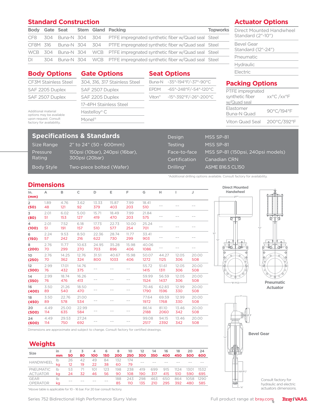### **Standard Construction**

|     |  |  | Body Gate Seat Stem Gland Packing                                          | <b>Topworks</b> |
|-----|--|--|----------------------------------------------------------------------------|-----------------|
|     |  |  | CF8 304 Buna-N 304 304 PTFE impregnated synthetic fiber w/Quad seal Steel  |                 |
|     |  |  | CF8M 316 Buna-N 304 304 PTFE impregnated synthetic fiber w/Quad seal Steel |                 |
|     |  |  | WCB 304 Buna-N 304 WCB PTFE impregnated synthetic fiber w/Quad seal Steel  |                 |
| DI. |  |  | 304 Buna-N 304 WCB PTFE impregnated synthetic fiber w/Quad seal Steel      |                 |

### **Actuator Options**

Direct Mounted Handwheel Standard (2"-10")

| <b>Bevel Gear</b><br>Standard (12"-24") |  |
|-----------------------------------------|--|
| Pneumatic                               |  |
| <b>Hydraulic</b>                        |  |
| $\Box$ o otvio                          |  |

xx°C /xx°F

#### **Seat Options** Buna-N -35°-194°F/-37°-90°C EPDM -65°-248°F/-54°-120°C Viton® -15°-392°F/-26°-200°C **Gate Options** 304, 316, 317 Stainless Steel SAF 2507 Duplex SAF 2205 Duplex 17-4PH Stainless Steel Hastelloy® C Monel® Additional material options may be available upon request. Consult factory for availability. **Packing Options** PTFE impregnated synthetic fiber w/Quad seal Elastomer Elastomer<br>Buna-N Quad 90°C/194°F Viton Quad Seal 200°C/392°F **Body Options** CF3M Stainless Steel SAF 2205 Duplex SAF 2507 Duplex Electric

## **Specifications & Standards**

Pressure Rating

Size Range 2" to 24" (50 - 600mm) 150psi (10bar), 240psi (16bar), 300psi (20bar) Body Style Two-piece bolted (Wafer)

| Design         | MSS SP-81                         |
|----------------|-----------------------------------|
| <b>Testing</b> | MSS SP-81                         |
| Face-to-face   | MSS SP-81 (150psi, 240psi models) |
| Certification  | Canadian CRN                      |
| Drilling*      | <b>ASME B16.5 CL150</b>           |
|                |                                   |

\*Additional drilling options available. Consult factory for availability.

### **Dimensions**

| In.<br>(mm)            | Α           | в            | $\mathsf{C}$ | D            | Е             | F            | G             | н             | L            | J            |  |  |
|------------------------|-------------|--------------|--------------|--------------|---------------|--------------|---------------|---------------|--------------|--------------|--|--|
| $\overline{2}$<br>(50) | 1.89<br>48  | 4.76<br>121  | 3.62<br>92   | 13.33<br>379 | 15.87<br>403  | 7.99<br>203  | 18.41<br>510  |               |              |              |  |  |
| 3<br>(80)              | 2.01<br>51  | 6.02<br>153  | 5.00<br>127  | 15.71<br>419 | 18.49<br>470  | 7.99<br>203  | 21.84<br>575  |               |              |              |  |  |
| 4<br>(100)             | 2.01<br>51  | 7.52<br>191  | 6.18<br>157  | 17.73<br>510 | 22.73<br>577  | 10.00<br>254 | 25.24<br>701  |               |              |              |  |  |
| 6<br>(150)             | 2.24<br>57  | 9.53<br>242  | 8.50<br>216  | 22.36<br>622 | 28.74<br>730  | 11.77<br>299 | 33.41<br>903  |               |              |              |  |  |
| 8<br>(200)             | 2.76<br>70  | 11.77<br>299 | 10.63<br>270 | 24.95<br>703 | 35.28<br>896  | 15.98<br>406 | 40.06<br>1086 |               |              |              |  |  |
| 10<br>(250)            | 2.76<br>70  | 14.25<br>362 | 12.76<br>324 | 31.51<br>800 | 40.67<br>1033 | 15.98<br>406 | 50.07<br>1272 | 44.27<br>1125 | 12.05<br>306 | 20.00<br>508 |  |  |
| 12<br>(300)            | 2.99<br>76  | 17.01<br>432 | 14.76<br>375 |              |               |              | 55.72<br>1415 | 51.61<br>1311 | 12.05<br>306 | 20.00<br>508 |  |  |
| 14<br>(350)            | 2.99<br>76  | 18.74<br>476 | 16.26<br>413 |              |               |              | 59.99<br>1524 | 56.59<br>1437 | 12.05<br>306 | 20.00<br>508 |  |  |
| 16<br>(400)            | 3.50<br>89  | 21.26<br>540 | 18.50<br>470 |              |               |              | 70.46<br>1790 | 62.83<br>1596 | 12.99<br>330 | 20.00<br>508 |  |  |
| 18<br>(450)            | 3.50<br>89  | 22.76<br>578 | 21.00<br>534 |              |               |              | 77.64<br>1972 | 69.59<br>1768 | 12.99<br>330 | 20.00<br>508 |  |  |
| 20<br>(500)            | 4.49<br>114 | 25.00<br>635 | 22.99<br>584 |              |               |              | 86.14<br>2188 | 81.10<br>2060 | 13.46<br>342 | 20.00<br>508 |  |  |
| 24<br>(600)            | 4.49<br>114 | 29.53<br>750 | 27.24<br>692 |              |               |              | 99.08<br>2517 | 94.15<br>2392 | 13.46<br>342 | 20.00<br>508 |  |  |



**Pneumatic Actuator**



Dimensions are approximate and subject to change. Consult factory for certified drawings.

### **Weights**

| <b>Size</b>      | în<br>mm | 50                | 80 | 4<br>100 | 6<br>150 | 8<br>200 | 10<br>250 | 12<br>300 | 14<br>350 | 16<br>400 | 18<br>450 | 20<br>500 | 24<br>600 |
|------------------|----------|-------------------|----|----------|----------|----------|-----------|-----------|-----------|-----------|-----------|-----------|-----------|
|                  |          |                   |    |          |          |          |           |           |           |           |           |           |           |
| <b>HANDWHEEL</b> | lb       | 26                | 42 | 49       | 84       | 132      | 174       |           |           |           |           |           |           |
|                  |          | $12 \overline{ }$ | 19 | 22       | 38       | 60       | 79        |           |           |           |           |           |           |
| <b>PNEUMATIC</b> | lb       | 53                | 71 | 101      | 123      | 198      | 238       | 419       | 699       | 915       | 1124      | 1301      | 1532      |
| <b>ACTUATOR</b>  | ka       | 24                | 32 | 46       | 56       | 90       | 108       | 190       | 317       | 415       | 510       | 590       | 695       |
| <b>GEAR</b>      | lb       |                   |    |          |          | 188      | 243       | 298       | 463       | 650       | 864       | 1058      | 1290      |
| <b>OPERATOR</b>  | ka       |                   |    |          |          | 85       | 110       | 135       | 210       | 295       | 392       | 480       | 585       |

\*Above table is applicable for 10 - 16 bar. For 20 bar consult factory.